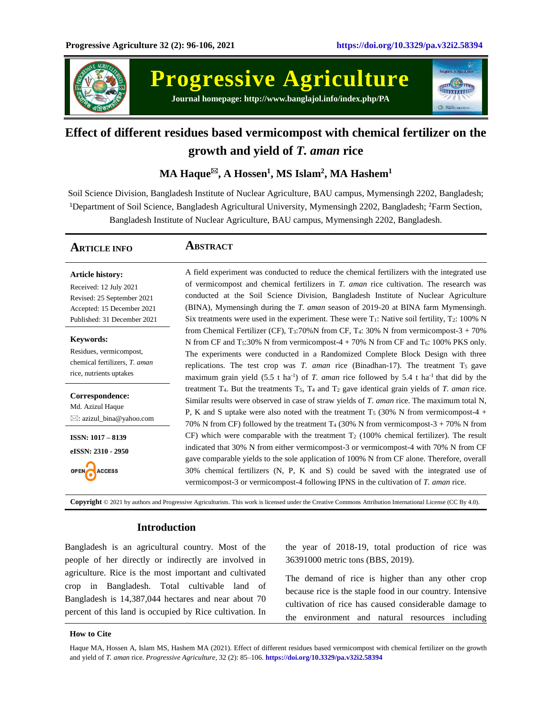

**Progressive Agriculture Journal homepage: http://www.banglajol.info/index.php/PA**



# **Effect of different residues based vermicompost with chemical fertilizer on the growth and yield of** *T. aman* **rice**

# **MA Haque, A Hossen<sup>1</sup> , MS Islam<sup>2</sup> , MA Hashem<sup>1</sup>**

Soil Science Division, Bangladesh Institute of Nuclear Agriculture, BAU campus, Mymensingh 2202, Bangladesh; <sup>1</sup>Department of Soil Science, Bangladesh Agricultural University, Mymensingh 2202, Bangladesh; <sup>2</sup>Farm Section, Bangladesh Institute of Nuclear Agriculture, BAU campus, Mymensingh 2202, Bangladesh.

| <b>ARTICLE INFO</b>                                                                                                                          | Abstract                                                                                                                                                                                                                                                                                                                                                                                                                                                                                |
|----------------------------------------------------------------------------------------------------------------------------------------------|-----------------------------------------------------------------------------------------------------------------------------------------------------------------------------------------------------------------------------------------------------------------------------------------------------------------------------------------------------------------------------------------------------------------------------------------------------------------------------------------|
| <b>Article history:</b><br>Received: 12 July 2021<br>Revised: 25 September 2021<br>Accepted: 15 December 2021<br>Published: 31 December 2021 | A field experiment was conducted to reduce the chemical fertilizers with the integrated use<br>of vermicompost and chemical fertilizers in T. aman rice cultivation. The research was<br>conducted at the Soil Science Division, Bangladesh Institute of Nuclear Agriculture<br>(BINA), Mymensingh during the T. aman season of 2019-20 at BINA farm Mymensingh.<br>Six treatments were used in the experiment. These were $T_1$ : Native soil fertility, $T_2$ : 100% N                |
| <b>Keywords:</b><br>Residues, vermicompost,<br>chemical fertilizers, T. aman<br>rice, nutrients uptakes                                      | from Chemical Fertilizer (CF), $T_3$ :70%N from CF, $T_4$ : 30% N from vermicompost-3 + 70%<br>N from CF and $T_5:30\%$ N from vermicompost-4 + 70% N from CF and $T_6$ : 100% PKS only.<br>The experiments were conducted in a Randomized Complete Block Design with three<br>replications. The test crop was T. aman rice (Binadhan-17). The treatment $T_5$ gave<br>maximum grain yield $(5.5 \text{ t ha}^{-1})$ of T. aman rice followed by 5.4 t ha <sup>-1</sup> that did by the |
| Correspondence:<br>Md. Azizul Haque<br>$\boxtimes$ : azizul_bina@yahoo.com                                                                   | treatment $T_4$ . But the treatments $T_5$ , $T_4$ and $T_2$ gave identical grain yields of T. aman rice.<br>Similar results were observed in case of straw yields of T. aman rice. The maximum total N,<br>P, K and S uptake were also noted with the treatment $T_5$ (30% N from vermicompost-4 +<br>70% N from CF) followed by the treatment T <sub>4</sub> (30% N from vermicompost-3 + 70% N from                                                                                  |
| <b>ISSN: 1017 - 8139</b><br>eISSN: 2310 - 2950<br><b>ACCESS</b>                                                                              | CF) which were comparable with the treatment $T_2$ (100% chemical fertilizer). The result<br>indicated that 30% N from either vermicompost-3 or vermicompost-4 with 70% N from CF<br>gave comparable yields to the sole application of 100% N from CF alone. Therefore, overall<br>30% chemical fertilizers (N, P, K and S) could be saved with the integrated use of<br>vermicompost-3 or vermicompost-4 following IPNS in the cultivation of T. aman rice.                            |

**Copyright** © 2021 by authors and Progressive Agriculturists. This work is licensed under the Creative Commons Attribution International License (CC By 4.0).

## **Introduction**

Bangladesh is an agricultural country. Most of the people of her directly or indirectly are involved in agriculture. Rice is the most important and cultivated crop in Bangladesh. Total cultivable land of Bangladesh is 14,387,044 hectares and near about 70 percent of this land is occupied by Rice cultivation. In the year of 2018-19, total production of rice was 36391000 metric tons (BBS, 2019).

The demand of rice is higher than any other crop because rice is the staple food in our country. Intensive cultivation of rice has caused considerable damage to the environment and natural resources including

### **How to Cite**

Haque MA, Hossen A, Islam MS, Hashem MA (2021). Effect of different residues based vermicompost with chemical fertilizer on the growth and yield of *T. aman* rice. *Progressive Agriculture*, 32 (2): 85–106. **https://doi.org/10.3329/pa.v32i2.58394**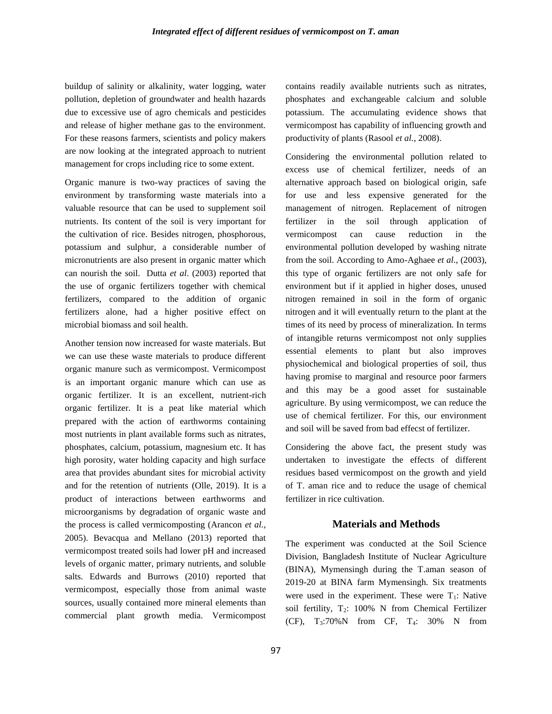buildup of salinity or alkalinity, water logging, water pollution, depletion of groundwater and health hazards due to excessive use of agro chemicals and pesticides and release of higher methane gas to the environment. For these reasons farmers, scientists and policy makers are now looking at the integrated approach to nutrient management for crops including rice to some extent.

Organic manure is two-way practices of saving the environment by transforming waste materials into a valuable resource that can be used to supplement soil nutrients. Its content of the soil is very important for the cultivation of rice. Besides nitrogen, phosphorous, potassium and sulphur, a considerable number of micronutrients are also present in organic matter which can nourish the soil. Dutta *et al*. (2003) reported that the use of organic fertilizers together with chemical fertilizers, compared to the addition of organic fertilizers alone, had a higher positive effect on microbial biomass and soil health.

Another tension now increased for waste materials. But we can use these waste materials to produce different organic manure such as vermicompost. Vermicompost is an important organic manure which can use as organic fertilizer. It is an excellent, nutrient-rich organic fertilizer. It is a peat like material which prepared with the action of earthworms containing most nutrients in plant available forms such as nitrates, phosphates, calcium, potassium, magnesium etc. It has high porosity, water holding capacity and high surface area that provides abundant sites for microbial activity and for the retention of nutrients (Olle, 2019). It is a product of interactions between earthworms and microorganisms by degradation of organic waste and the process is called vermicomposting (Arancon *et al.*, 2005). Bevacqua and Mellano (2013) reported that vermicompost treated soils had lower pH and increased levels of organic matter, primary nutrients, and soluble salts. Edwards and Burrows (2010) reported that vermicompost, especially those from animal waste sources, usually contained more mineral elements than commercial plant growth media. Vermicompost

contains readily available nutrients such as nitrates, phosphates and exchangeable calcium and soluble potassium. The accumulating evidence shows that vermicompost has capability of influencing growth and productivity of plants (Rasool *et al.*, 2008).

Considering the environmental pollution related to excess use of chemical fertilizer, needs of an alternative approach based on biological origin, safe for use and less expensive generated for the management of nitrogen. Replacement of nitrogen fertilizer in the soil through application of vermicompost can cause reduction in the environmental pollution developed by washing nitrate from the soil. According to Amo-Aghaee *et al*., (2003), this type of organic fertilizers are not only safe for environment but if it applied in higher doses, unused nitrogen remained in soil in the form of organic nitrogen and it will eventually return to the plant at the times of its need by process of mineralization. In terms of intangible returns vermicompost not only supplies essential elements to plant but also improves physiochemical and biological properties of soil, thus having promise to marginal and resource poor farmers and this may be a good asset for sustainable agriculture. By using vermicompost, we can reduce the use of chemical fertilizer. For this, our environment and soil will be saved from bad effecst of fertilizer.

Considering the above fact, the present study was undertaken to investigate the effects of different residues based vermicompost on the growth and yield of T. aman rice and to reduce the usage of chemical fertilizer in rice cultivation.

### **Materials and Methods**

The experiment was conducted at the Soil Science Division, Bangladesh Institute of Nuclear Agriculture (BINA), Mymensingh during the T.aman season of 2019-20 at BINA farm Mymensingh. Six treatments were used in the experiment. These were  $T_1$ : Native soil fertility,  $T_2$ : 100% N from Chemical Fertilizer (CF),  $T_3:70\%$  N from CF,  $T_4$ : 30% N from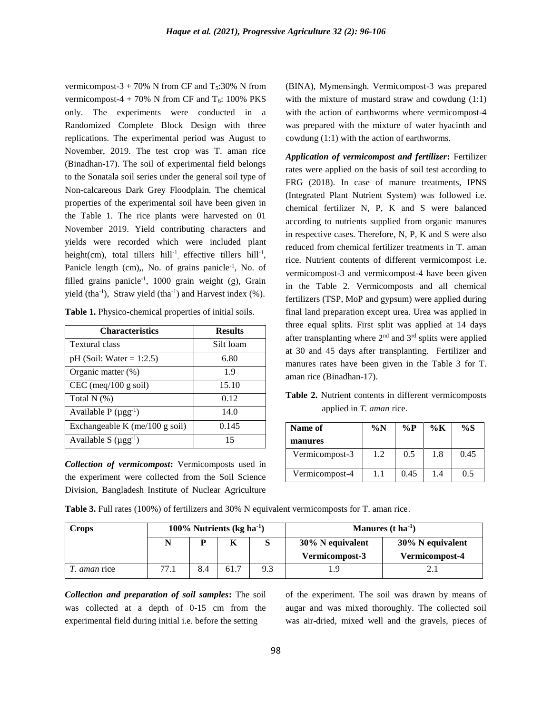vermicompost-3 + 70% N from CF and  $T_5$ :30% N from vermicompost-4 + 70% N from CF and  $T_6$ : 100% PKS only. The experiments were conducted in a Randomized Complete Block Design with three replications. The experimental period was August to November, 2019. The test crop was T. aman rice (Binadhan-17). The soil of experimental field belongs to the Sonatala soil series under the general soil type of Non-calcareous Dark Grey Floodplain. The chemical properties of the experimental soil have been given in the Table 1. The rice plants were harvested on 01 November 2019. Yield contributing characters and yields were recorded which were included plant height(cm), total tillers hill<sup>-1</sup>, effective tillers hill<sup>-1</sup>, Panicle length (cm),, No. of grains panicle<sup>-1</sup>, No. of filled grains panicle-1 , 1000 grain weight (g), Grain yield (tha<sup>-1</sup>), Straw yield (tha<sup>-1</sup>) and Harvest index  $(\% )$ .

| Table 1. Physico-chemical properties of initial soils. |  |
|--------------------------------------------------------|--|
|--------------------------------------------------------|--|

| <b>Characteristics</b>         | <b>Results</b> |
|--------------------------------|----------------|
| <b>Textural class</b>          | Silt loam      |
| $pH$ (Soil: Water = 1:2.5)     | 6.80           |
| Organic matter (%)             | 1.9            |
| $CEC$ (meq/100 g soil)         | 15.10          |
| Total $N$ (%)                  | 0.12           |
| Available $P(\mu gg^{-1})$     | 14.0           |
| Exchangeable K (me/100 g soil) | 0.145          |
| Available S $(\mu gg^{-1})$    | 15             |

*Collection of vermicompost***:** Vermicomposts used in the experiment were collected from the Soil Science Division, Bangladesh Institute of Nuclear Agriculture (BINA), Mymensingh. Vermicompost-3 was prepared with the mixture of mustard straw and cowdung  $(1:1)$ with the action of earthworms where vermicompost-4 was prepared with the mixture of water hyacinth and cowdung (1:1) with the action of earthworms.

*Application of vermicompost and fertilizer***:** Fertilizer rates were applied on the basis of soil test according to FRG (2018). In case of manure treatments, IPNS (Integrated Plant Nutrient System) was followed i.e. chemical fertilizer N, P, K and S were balanced according to nutrients supplied from organic manures in respective cases. Therefore, N, P, K and S were also reduced from chemical fertilizer treatments in T. aman rice. Nutrient contents of different vermicompost i.e. vermicompost-3 and vermicompost-4 have been given in the Table 2. Vermicomposts and all chemical fertilizers (TSP, MoP and gypsum) were applied during final land preparation except urea. Urea was applied in three equal splits. First split was applied at 14 days after transplanting where 2nd and 3rd splits were applied at 30 and 45 days after transplanting. Fertilizer and manures rates have been given in the Table 3 for T. aman rice (Binadhan-17).

**Table 2.** Nutrient contents in different vermicomposts applied in *T. aman* rice.

| Name of<br>manures | $\%N$ | $\%P$ | %K  | $\%S$ |
|--------------------|-------|-------|-----|-------|
| Vermicompost-3     | 1.2   | 0.5   | 1.8 | 0.45  |
| Vermicompost-4     |       | 0.45  | 1.4 | 0.5   |

**Table 3.** Full rates (100%) of fertilizers and 30% N equivalent vermicomposts for T. aman rice.

| <b>Crops</b>     | 100% Nutrients ( $kg \, ha^{-1}$ ) |     |      |     | Manures $(t \, ha^{-1})$           |                                    |  |
|------------------|------------------------------------|-----|------|-----|------------------------------------|------------------------------------|--|
|                  |                                    |     | K    |     | 30% N equivalent<br>Vermicompost-3 | 30% N equivalent<br>Vermicompost-4 |  |
| <i>aman</i> rice | 77.1                               | 8.4 | 61.7 | 9.3 |                                    |                                    |  |

*Collection and preparation of soil samples***:** The soil was collected at a depth of 0-15 cm from the experimental field during initial i.e. before the setting

of the experiment. The soil was drawn by means of augar and was mixed thoroughly. The collected soil was air-dried, mixed well and the gravels, pieces of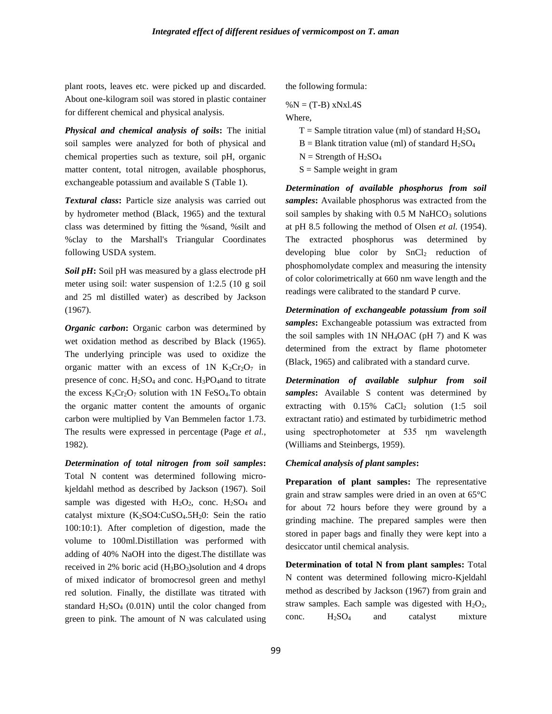plant roots, leaves etc. were picked up and discarded. About one-kilogram soil was stored in plastic container for different chemical and physical analysis.

*Physical and chemical analysis of soils***:** The initial soil samples were analyzed for both of physical and chemical properties such as texture, soil pH, organic matter content, total nitrogen, available phosphorus, exchangeable potassium and available S (Table 1).

*Textural class***:** Particle size analysis was carried out by hydrometer method (Black, 1965) and the textural class was determined by fitting the %sand, %silt and %clay to the Marshall's Triangular Coordinates following USDA system.

*Soil pH***:** Soil pH was measured by a glass electrode pH meter using soil: water suspension of 1:2.5 (10 g soil and 25 ml distilled water) as described by Jackson (1967).

*Organic carbon*: Organic carbon was determined by wet oxidation method as described by Black (1965). The underlying principle was used to oxidize the organic matter with an excess of 1N  $K_2Cr_2O_7$  in presence of conc.  $H_2SO_4$  and conc.  $H_3PO_4$ and to titrate the excess  $K_2Cr_2O_7$  solution with 1N FeSO<sub>4</sub>. To obtain the organic matter content the amounts of organic carbon were multiplied by Van Bemmelen factor 1.73. The results were expressed in percentage (Page *et al.*, 1982).

*Determination of total nitrogen from soil samples***:**  Total N content was determined following microkjeldahl method as described by Jackson (1967). Soil sample was digested with  $H_2O_2$ , conc.  $H_2SO_4$  and catalyst mixture  $(K_2SO4:CuSO_4.5H_2O$ : Sein the ratio 100:10:1). After completion of digestion, made the volume to 100ml.Distillation was performed with adding of 40% NaOH into the digest.The distillate was received in 2% boric acid  $(H_3BO_3)$ solution and 4 drops of mixed indicator of bromocresol green and methyl red solution. Finally, the distillate was titrated with standard  $H<sub>2</sub>SO<sub>4</sub>$  (0.01N) until the color changed from green to pink. The amount of N was calculated using

the following formula:

# $%N = (T-B)$  xNxl.4S

Where,

- $T =$  Sample titration value (ml) of standard  $H_2SO_4$
- $B = Blank$  titration value (ml) of standard  $H<sub>2</sub>SO<sub>4</sub>$
- $N =$  Strength of  $H<sub>2</sub>SO<sub>4</sub>$
- $S =$  Sample weight in gram

*Determination of available phosphorus from soil samples***:** Available phosphorus was extracted from the soil samples by shaking with  $0.5$  M NaHCO<sub>3</sub> solutions at pH 8.5 following the method of Olsen *et al.* (1954). The extracted phosphorus was determined by developing blue color by  $SnCl<sub>2</sub>$  reduction of phosphomolydate complex and measuring the intensity of color colorimetrically at 660 nm wave length and the readings were calibrated to the standard P curve.

*Determination of exchangeable potassium from soil samples***:** Exchangeable potassium was extracted from the soil samples with  $1N NH<sub>4</sub>OAC$  (pH 7) and K was determined from the extract by flame photometer (Black, 1965) and calibrated with a standard curve.

*Determination of available sulphur from soil samples***:** Available S content was determined by extracting with  $0.15\%$  CaCl<sub>2</sub> solution  $(1:5 \text{ soil})$ extractant ratio) and estimated by turbidimetric method using spectrophotometer at 535 ηm wavelength (Williams and Steinbergs, 1959).

### *Chemical analysis of plant samples***:**

**Preparation of plant samples:** The representative grain and straw samples were dried in an oven at 65°C for about 72 hours before they were ground by a grinding machine. The prepared samples were then stored in paper bags and finally they were kept into a desiccator until chemical analysis.

**Determination of total N from plant samples:** Total N content was determined following micro-Kjeldahl method as described by Jackson (1967) from grain and straw samples. Each sample was digested with  $H_2O_2$ , conc. H2SO<sup>4</sup> and catalyst mixture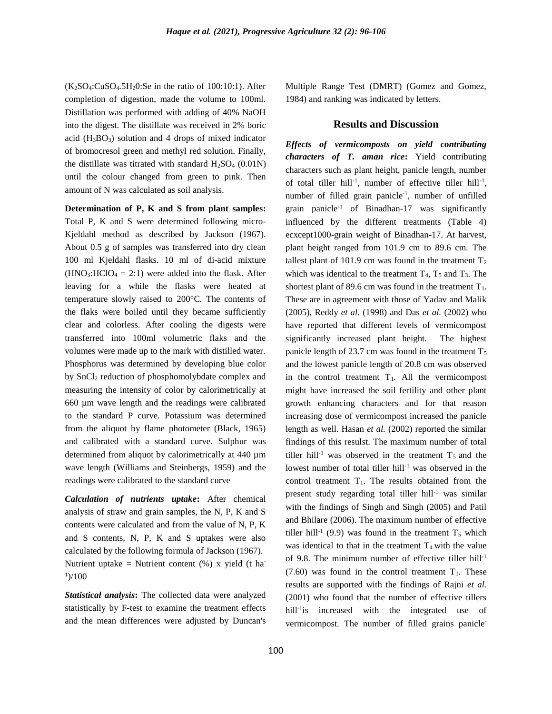$(K_2SO_4:CuSO_4.5H_2O:Se$  in the ratio of 100:10:1). After completion of digestion, made the volume to 100ml. Distillation was performed with adding of 40% NaOH into the digest. The distillate was received in 2% boric acid  $(H_3BO_3)$  solution and 4 drops of mixed indicator of bromocresol green and methyl red solution. Finally, the distillate was titrated with standard  $H_2SO_4$  (0.01N) until the colour changed from green to pink. Then amount of N was calculated as soil analysis.

**Determination of P, K and S from plant samples:**  Total P, K and S were determined following micro-Kjeldahl method as described by Jackson (1967). About 0.5 g of samples was transferred into dry clean 100 ml Kjeldahl flasks. 10 ml of di-acid mixture  $(HNO<sub>3</sub>:HClO<sub>4</sub> = 2:1)$  were added into the flask. After leaving for a while the flasks were heated at temperature slowly raised to 200°C. The contents of the flaks were boiled until they became sufficiently clear and colorless. After cooling the digests were transferred into 100ml volumetric flaks and the volumes were made up to the mark with distilled water. Phosphorus was determined by developing blue color by SnCl<sub>2</sub> reduction of phosphomolybdate complex and measuring the intensity of color by calorimetrically at 660 µm wave length and the readings were calibrated to the standard P curve. Potassium was determined from the aliquot by flame photometer (Black, 1965) and calibrated with a standard curve. Sulphur was determined from aliquot by calorimetrically at 440 µm wave length (Williams and Steinbergs, 1959) and the readings were calibrated to the standard curve

*Calculation of nutrients uptake***:** After chemical analysis of straw and grain samples, the N, P, K and S contents were calculated and from the value of N, P, K and S contents, N, P, K and S uptakes were also calculated by the following formula of Jackson (1967). Nutrient uptake = Nutrient content  $(\%)$  x yield (t ha- $\frac{1}{100}$ 

*Statistical analysis***:** The collected data were analyzed statistically by F-test to examine the treatment effects and the mean differences were adjusted by Duncan's Multiple Range Test (DMRT) (Gomez and Gomez, 1984) and ranking was indicated by letters.

### **Results and Discussion**

*Effects of vermicomposts on yield contributing characters of T. aman rice***:** Yield contributing characters such as plant height, panicle length, number of total tiller hill<sup>-1</sup>, number of effective tiller hill<sup>-1</sup>, number of filled grain panicle<sup>-1</sup>, number of unfilled grain panicle-1 of Binadhan-17 was significantly influenced by the different treatments (Table 4) ecxcept1000-grain weight of Binadhan-17. At harvest, plant height ranged from 101.9 cm to 89.6 cm. The tallest plant of 101.9 cm was found in the treatment  $T_2$ which was identical to the treatment  $T_4$ ,  $T_5$  and  $T_3$ . The shortest plant of 89.6 cm was found in the treatment  $T_1$ . These are in agreement with those of Yadav and Malik (2005), Reddy *et al*. (1998) and Das *et al.* (2002) who have reported that different levels of vermicompost significantly increased plant height. The highest panicle length of 23.7 cm was found in the treatment  $T_5$ and the lowest panicle length of 20.8 cm was observed in the control treatment  $T_1$ . All the vermicompost might have increased the soil fertility and other plant growth enhancing characters and for that reason increasing dose of vermicompost increased the panicle length as well. Hasan *et al.* (2002) reported the similar findings of this resulst. The maximum number of total tiller hill<sup>-1</sup> was observed in the treatment  $T_5$  and the lowest number of total tiller hill<sup>-1</sup> was observed in the control treatment  $T_1$ . The results obtained from the present study regarding total tiller hill<sup>-1</sup> was similar with the findings of Singh and Singh (2005) and Patil and Bhilare (2006). The maximum number of effective tiller hill<sup>-1</sup> (9.9) was found in the treatment  $T_5$  which was identical to that in the treatment  $T_4$  with the value of 9.8. The minimum number of effective tiller hill-1  $(7.60)$  was found in the control treatment  $T_1$ . These results are supported with the findings of Rajni *et al.* (2001) who found that the number of effective tillers hill<sup>-1</sup> is increased with the integrated use of vermicompost. The number of filled grains panicle-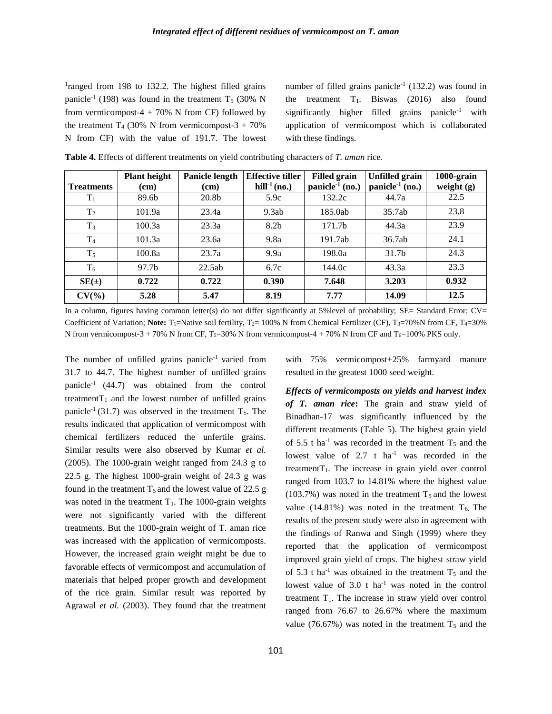<sup>1</sup>ranged from 198 to 132.2. The highest filled grains panicle<sup>-1</sup> (198) was found in the treatment  $T_5$  (30% N from vermicompost-4 + 70% N from CF) followed by the treatment  $T_4$  (30% N from vermicompost-3 + 70%) N from CF) with the value of 191.7. The lowest

number of filled grains panicle<sup>-1</sup> (132.2) was found in the treatment  $T_1$ . Biswas (2016) also found significantly higher filled grains panicle<sup>-1</sup> with application of vermicompost which is collaborated with these findings.

|                   | <b>Plant height</b> | Panicle length    | <b>Effective tiller</b> | <b>Filled</b> grain         | <b>Unfilled</b> grain       | 1000-grain   |
|-------------------|---------------------|-------------------|-------------------------|-----------------------------|-----------------------------|--------------|
| <b>Treatments</b> | (cm)                | (cm)              | hill $-1$ (no.)         | panicle <sup>-1</sup> (no.) | panicle <sup>-1</sup> (no.) | weight $(g)$ |
| $T_1$             | 89.6b               | 20.8 <sub>b</sub> | 5.9c                    | 132.2c                      | 44.7a                       | 22.5         |
| T <sub>2</sub>    | 101.9a              | 23.4a             | 9.3ab                   | 185.0ab                     | 35.7ab                      | 23.8         |
| $T_3$             | 100.3a              | 23.3a             | 8.2 <sub>b</sub>        | 171.7b                      | 44.3a                       | 23.9         |
| T <sub>4</sub>    | 101.3a              | 23.6a             | 9.8a                    | 191.7ab                     | 36.7ab                      | 24.1         |
| $T_5$             | 100.8a              | 23.7a             | 9.9a                    | 198.0a                      | 31.7 <sub>b</sub>           | 24.3         |
| $T_6$             | 97.7b               | 22.5ab            | 6.7c                    | 144.0c                      | 43.3a                       | 23.3         |
| $SE(\pm)$         | 0.722               | 0.722             | 0.390                   | 7.648                       | 3.203                       | 0.932        |
| $CV(\%)$          | 5.28                | 5.47              | 8.19                    | 7.77                        | 14.09                       | 12.5         |

**Table 4.** Effects of different treatments on yield contributing characters of *T. aman* rice.

In a column, figures having common letter(s) do not differ significantly at 5%level of probability; SE= Standard Error; CV= Coefficient of Variation; Note: T<sub>1</sub>=Native soil fertility, T<sub>2</sub>= 100% N from Chemical Fertilizer (CF), T<sub>3</sub>=70%N from CF, T<sub>4</sub>=30% N from vermicompost-3 + 70% N from CF, T<sub>5</sub>=30% N from vermicompost-4 + 70% N from CF and T<sub>6</sub>=100% PKS only.

The number of unfilled grains panicle<sup>-1</sup> varied from 31.7 to 44.7. The highest number of unfilled grains panicle-1 (44.7) was obtained from the control treatment $T_1$  and the lowest number of unfilled grains panicle<sup>-1</sup> (31.7) was observed in the treatment  $T_5$ . The results indicated that application of vermicompost with chemical fertilizers reduced the unfertile grains. Similar results were also observed by Kumar *et al.* (2005). The 1000-grain weight ranged from 24.3 g to 22.5 g. The highest 1000-grain weight of 24.3 g was found in the treatment  $T_5$  and the lowest value of 22.5 g was noted in the treatment  $T_1$ . The 1000-grain weights were not significantly varied with the different treatments. But the 1000-grain weight of T. aman rice was increased with the application of vermicomposts. However, the increased grain weight might be due to favorable effects of vermicompost and accumulation of materials that helped proper growth and development of the rice grain. Similar result was reported by Agrawal *et al.* (2003). They found that the treatment

*Effects of vermicomposts on yields and harvest index* 

resulted in the greatest 1000 seed weight.

with 75% vermicompost+25% farmyard manure

*of T. aman rice***:** The grain and straw yield of Binadhan-17 was significantly influenced by the different treatments (Table 5). The highest grain yield of 5.5 t ha<sup>-1</sup> was recorded in the treatment  $T_5$  and the lowest value of  $2.7$  t ha<sup>-1</sup> was recorded in the treatment $T_1$ . The increase in grain yield over control ranged from 103.7 to 14.81% where the highest value (103.7%) was noted in the treatment  $T_5$  and the lowest value (14.81%) was noted in the treatment  $T_6$ . The results of the present study were also in agreement with the findings of Ranwa and Singh (1999) where they reported that the application of vermicompost improved grain yield of crops. The highest straw yield of 5.3 t ha<sup>-1</sup> was obtained in the treatment  $T_5$  and the lowest value of  $3.0$  t ha<sup>-1</sup> was noted in the control treatment  $T_1$ . The increase in straw yield over control ranged from 76.67 to 26.67% where the maximum value (76.67%) was noted in the treatment  $T_5$  and the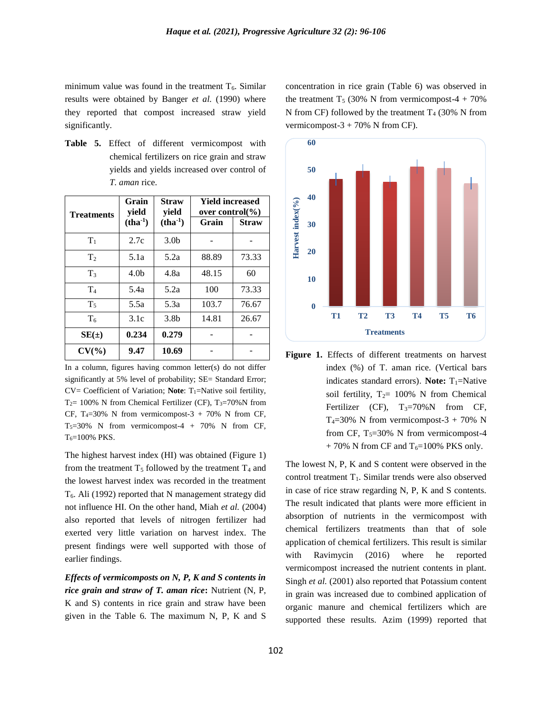minimum value was found in the treatment  $T<sub>6</sub>$ . Similar results were obtained by Banger *et al.* (1990) where they reported that compost increased straw yield significantly.

**Table 5.** Effect of different vermicompost with chemical fertilizers on rice grain and straw yields and yields increased over control of *T. aman* rice.

| Treatments     | Grain<br>yield   | <b>Straw</b><br>yield | <b>Yield increased</b><br>over control $\frac{6}{6}$ |              |  |  |
|----------------|------------------|-----------------------|------------------------------------------------------|--------------|--|--|
|                | $(tha-1)$        | $(tha-1)$             | Grain                                                | <b>Straw</b> |  |  |
| $T_1$          | 2.7c             | 3.0 <sub>b</sub>      |                                                      |              |  |  |
| T <sub>2</sub> | 5.1a             | 5.2a                  | 88.89                                                | 73.33        |  |  |
| T <sub>3</sub> | 4.0 <sub>b</sub> | 4.8a                  | 48.15                                                | 60           |  |  |
| T <sub>4</sub> | 5.4a             | 5.2a                  | 100                                                  | 73.33        |  |  |
| $T_5$          | 5.5a             | 5.3a                  | 103.7                                                | 76.67        |  |  |
| $T_6$          | 3.1c             | 3.8 <sub>b</sub>      | 14.81                                                | 26.67        |  |  |
| $SE(\pm)$      | 0.234            | 0.279                 |                                                      |              |  |  |
| $CV(\%)$       | 9.47             | 10.69                 |                                                      |              |  |  |

In a column, figures having common letter(s) do not differ significantly at 5% level of probability; SE= Standard Error; CV= Coefficient of Variation; **Note**: T<sub>1</sub>=Native soil fertility, T<sub>2</sub>= 100% N from Chemical Fertilizer (CF), T<sub>3</sub>=70%N from CF, T<sub>4</sub>=30% N from vermicompost-3 + 70% N from CF,  $T<sub>5</sub>=30%$  N from vermicompost-4 + 70% N from CF,  $T_6 = 100\%$  PKS.

The highest harvest index (HI) was obtained (Figure 1) from the treatment  $T_5$  followed by the treatment  $T_4$  and the lowest harvest index was recorded in the treatment T6. Ali (1992) reported that N management strategy did not influence HI. On the other hand, Miah *et al.* (2004) also reported that levels of nitrogen fertilizer had exerted very little variation on harvest index. The present findings were well supported with those of earlier findings.

*Effects of vermicomposts on N, P, K and S contents in rice grain and straw of T. aman rice***:** Nutrient (N, P, K and S) contents in rice grain and straw have been given in the Table 6. The maximum N, P, K and S concentration in rice grain (Table 6) was observed in the treatment T<sub>5</sub> (30% N from vermicompost-4 + 70%) N from CF) followed by the treatment  $T_4$  (30% N from vermicompost- $3 + 70\%$  N from CF).



**Figure 1.** Effects of different treatments on harvest index (%) of T. aman rice. (Vertical bars indicates standard errors). **Note:**  $T_1$ =Native soil fertility,  $T_2 = 100\%$  N from Chemical Fertilizer (CF),  $T_3=70\%$ N from CF,  $T_4=30\%$  N from vermicompost-3 + 70% N from CF,  $T_5=30\%$  N from vermicompost-4  $+ 70\%$  N from CF and T<sub>6</sub>=100% PKS only.

The lowest N, P, K and S content were observed in the control treatment T<sub>1</sub>. Similar trends were also observed in case of rice straw regarding N, P, K and S contents. The result indicated that plants were more efficient in absorption of nutrients in the vermicompost with chemical fertilizers treatments than that of sole application of chemical fertilizers. This result is similar with Ravimycin (2016) where he reported vermicompost increased the nutrient contents in plant. Singh *et al.* (2001) also reported that Potassium content in grain was increased due to combined application of organic manure and chemical fertilizers which are supported these results. Azim (1999) reported that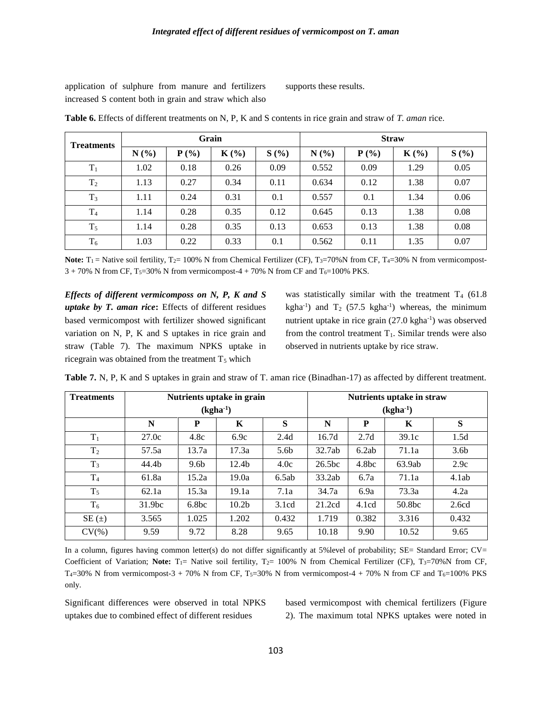application of sulphure from manure and fertilizers increased S content both in grain and straw which also supports these results.

| <b>Treatments</b> |      | Grain   |         |      | <b>Straw</b> |         |         |      |
|-------------------|------|---------|---------|------|--------------|---------|---------|------|
|                   | N(%) | $P(\%)$ | $K(\%)$ | S(%) | N(%)         | $P(\%)$ | $K(\%)$ | S(%) |
| $T_1$             | 1.02 | 0.18    | 0.26    | 0.09 | 0.552        | 0.09    | 1.29    | 0.05 |
| T <sub>2</sub>    | 1.13 | 0.27    | 0.34    | 0.11 | 0.634        | 0.12    | 1.38    | 0.07 |
| $T_3$             | 1.11 | 0.24    | 0.31    | 0.1  | 0.557        | 0.1     | 1.34    | 0.06 |
| T <sub>4</sub>    | 1.14 | 0.28    | 0.35    | 0.12 | 0.645        | 0.13    | 1.38    | 0.08 |
| $T_5$             | 1.14 | 0.28    | 0.35    | 0.13 | 0.653        | 0.13    | 1.38    | 0.08 |
| $T_6$             | 1.03 | 0.22    | 0.33    | 0.1  | 0.562        | 0.11    | 1.35    | 0.07 |

**Table 6.** Effects of different treatments on N, P, K and S contents in rice grain and straw of *T. aman* rice.

**Note:**  $T_1$  = Native soil fertility,  $T_2$  = 100% N from Chemical Fertilizer (CF),  $T_3$  =70%N from CF,  $T_4$  =30% N from vermicompost- $3 + 70\%$  N from CF, T<sub>5</sub>=30% N from vermicompost-4 + 70% N from CF and T<sub>6</sub>=100% PKS.

*Effects of different vermicomposs on N, P, K and S uptake by T. aman rice***:** Effects of different residues based vermicompost with fertilizer showed significant variation on N, P, K and S uptakes in rice grain and straw (Table 7). The maximum NPKS uptake in ricegrain was obtained from the treatment  $T_5$  which

was statistically similar with the treatment  $T_4$  (61.8) kgha<sup>-1</sup>) and  $T_2$  (57.5 kgha<sup>-1</sup>) whereas, the minimum nutrient uptake in rice grain (27.0 kgha<sup>-1</sup>) was observed from the control treatment  $T_1$ . Similar trends were also observed in nutrients uptake by rice straw.

| <b>Treatments</b> | Nutrients uptake in grain |                   |                   |                  | Nutrients uptake in straw |                   |        |                  |
|-------------------|---------------------------|-------------------|-------------------|------------------|---------------------------|-------------------|--------|------------------|
|                   |                           |                   | $(kgha^{-1})$     |                  |                           |                   |        |                  |
|                   | N                         | P                 | K                 | S                | N                         | P                 | K      | S                |
| $T_1$             | 27.0c                     | 4.8c              | 6.9c              | 2.4d             | 16.7d                     | 2.7d              | 39.1c  | 1.5d             |
| T <sub>2</sub>    | 57.5a                     | 13.7a             | 17.3a             | 5.6 <sub>b</sub> | 32.7ab                    | 6.2ab             | 71.1a  | 3.6 <sub>b</sub> |
| $T_3$             | 44.4b                     | 9.6 <sub>b</sub>  | 12.4 <sub>b</sub> | 4.0c             | 26.5 <sub>bc</sub>        | 4.8 <sub>bc</sub> | 63.9ab | 2.9c             |
| T <sub>4</sub>    | 61.8a                     | 15.2a             | 19.0a             | 6.5ab            | 33.2ab                    | 6.7a              | 71.1a  | 4.1ab            |
| $T_5$             | 62.1a                     | 15.3a             | 19.1a             | 7.1a             | 34.7a                     | 6.9a              | 73.3a  | 4.2a             |
| $T_6$             | 31.9 <sub>bc</sub>        | 6.8 <sub>bc</sub> | 10.2 <sub>b</sub> | 3.1cd            | 21.2cd                    | 4.1cd             | 50.8bc | 2.6cd            |
| SE $(\pm)$        | 3.565                     | 1.025             | 1.202             | 0.432            | 1.719                     | 0.382             | 3.316  | 0.432            |
| $CV(\% )$         | 9.59                      | 9.72              | 8.28              | 9.65             | 10.18                     | 9.90              | 10.52  | 9.65             |

**Table 7.** N, P, K and S uptakes in grain and straw of T. aman rice (Binadhan-17) as affected by different treatment.

In a column, figures having common letter(s) do not differ significantly at 5%level of probability; SE= Standard Error; CV= Coefficient of Variation; Note: T<sub>1</sub>= Native soil fertility, T<sub>2</sub>= 100% N from Chemical Fertilizer (CF), T<sub>3</sub>=70%N from CF,  $T_4$ =30% N from vermicompost-3 + 70% N from CF, T<sub>5</sub>=30% N from vermicompost-4 + 70% N from CF and T<sub>6</sub>=100% PKS only.

Significant differences were observed in total NPKS uptakes due to combined effect of different residues

based vermicompost with chemical fertilizers (Figure 2). The maximum total NPKS uptakes were noted in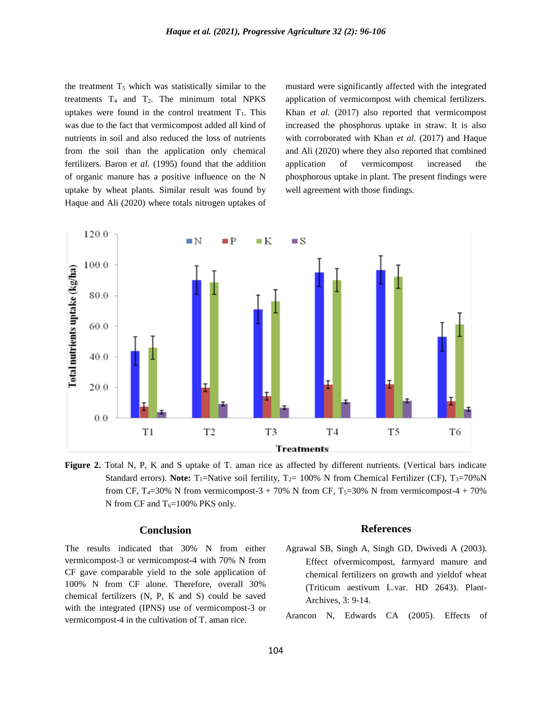the treatment  $T<sub>5</sub>$  which was statistically similar to the treatments  $T_4$  and  $T_2$ . The minimum total NPKS uptakes were found in the control treatment  $T_1$ . This was due to the fact that vermicompost added all kind of nutrients in soil and also reduced the loss of nutrients from the soil than the application only chemical fertilizers. Baron *et al.* (1995) found that the addition of organic manure has a positive influence on the N uptake by wheat plants. Similar result was found by Haque and Ali (2020) where totals nitrogen uptakes of mustard were significantly affected with the integrated application of vermicompost with chemical fertilizers. Khan *et al.* (2017) also reported that vermicompost increased the phosphorus uptake in straw. It is also with corroborated with Khan *et al.* (2017) and Haque and Ali (2020) where they also reported that combined application of vermicompost increased the phosphorous uptake in plant. The present findings were well agreement with those findings.



**Figure 2.** Total N, P, K and S uptake of T. aman rice as affected by different nutrients. (Vertical bars indicate Standard errors). **Note:** T<sub>1</sub>=Native soil fertility, T<sub>2</sub>= 100% N from Chemical Fertilizer (CF), T<sub>3</sub>=70% N from CF, T<sub>4</sub>=30% N from vermicompost-3 + 70% N from CF, T<sub>5</sub>=30% N from vermicompost-4 + 70% N from CF and  $T_6=100\%$  PKS only.

## **Conclusion**

The results indicated that 30% N from either vermicompost-3 or vermicompost-4 with 70% N from CF gave comparable yield to the sole application of 100% N from CF alone. Therefore, overall 30% chemical fertilizers (N, P, K and S) could be saved with the integrated (IPNS) use of vermicompost-3 or vermicompost-4 in the cultivation of T. aman rice.

#### **References**

Agrawal SB, Singh A, Singh GD, Dwivedi A (2003). Effect ofvermicompost, farmyard manure and chemical fertilizers on growth and yieldof wheat (Triticum aestivum L.var. HD 2643). Plant-Archives, 3: 9-14.

Arancon N, Edwards CA (2005). Effects of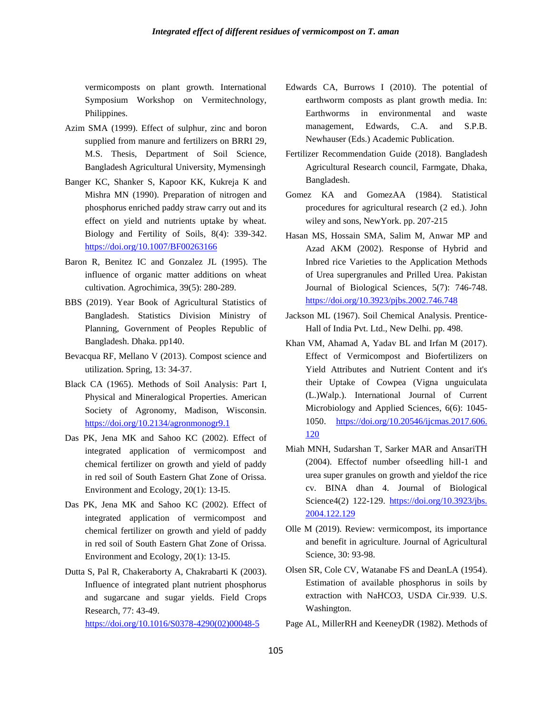vermicomposts on plant growth. International Symposium Workshop on Vermitechnology, Philippines.

- Azim SMA (1999). Effect of sulphur, zinc and boron supplied from manure and fertilizers on BRRI 29, M.S. Thesis, Department of Soil Science, Bangladesh Agricultural University, Mymensingh
- Banger KC, Shanker S, Kapoor KK, Kukreja K and Mishra MN (1990). Preparation of nitrogen and phosphorus enriched paddy straw carry out and its effect on yield and nutrients uptake by wheat. Biology and Fertility of Soils, 8(4): 339-342. <https://doi.org/10.1007/BF00263166>
- Baron R, Benitez IC and Gonzalez JL (1995). The influence of organic matter additions on wheat cultivation. Agrochimica, 39(5): 280-289.
- BBS (2019). Year Book of Agricultural Statistics of Bangladesh. Statistics Division Ministry of Planning, Government of Peoples Republic of Bangladesh. Dhaka. pp140.
- Bevacqua RF, Mellano V (2013). Compost science and utilization. Spring, 13: 34-37.
- Black CA (1965). Methods of Soil Analysis: Part I, Physical and Mineralogical Properties. American Society of Agronomy, Madison, Wisconsin. <https://doi.org/10.2134/agronmonogr9.1>
- Das PK, Jena MK and Sahoo KC (2002). Effect of integrated application of vermicompost and chemical fertilizer on growth and yield of paddy in red soil of South Eastern Ghat Zone of Orissa. Environment and Ecology, 20(1): 13-I5.
- Das PK, Jena MK and Sahoo KC (2002). Effect of integrated application of vermicompost and chemical fertilizer on growth and yield of paddy in red soil of South Eastern Ghat Zone of Orissa. Environment and Ecology, 20(1): 13-I5.
- Dutta S, Pal R, Chakeraborty A, Chakrabarti K (2003). Influence of integrated plant nutrient phosphorus and sugarcane and sugar yields. Field Crops Research, 77: 43-49.

[https://doi.org/10.1016/S0378-4290\(02\)00048-5](https://doi.org/10.1016/S0378-4290(02)00048-5)

- Edwards CA, Burrows I (2010). The potential of earthworm composts as plant growth media. In: Earthworms in environmental and waste management, Edwards, C.A. and S.P.B. Newhauser (Eds.) Academic Publication.
- Fertilizer Recommendation Guide (2018). Bangladesh Agricultural Research council, Farmgate, Dhaka, Bangladesh.
- Gomez KA and GomezAA (1984). Statistical procedures for agricultural research (2 ed.). John wiley and sons, NewYork. pp. 207-215
- Hasan MS, Hossain SMA, Salim M, Anwar MP and Azad AKM (2002). Response of Hybrid and Inbred rice Varieties to the Application Methods of Urea supergranules and Prilled Urea. Pakistan Journal of Biological Sciences, 5(7): 746-748. <https://doi.org/10.3923/pjbs.2002.746.748>
- Jackson ML (1967). Soil Chemical Analysis. Prentice-Hall of India Pvt. Ltd., New Delhi. pp. 498.
- Khan VM, Ahamad A, Yadav BL and Irfan M (2017). Effect of Vermicompost and Biofertilizers on Yield Attributes and Nutrient Content and it's their Uptake of Cowpea (Vigna unguiculata (L.)Walp.). International Journal of Current Microbiology and Applied Sciences, 6(6): 1045- 1050. [https://doi.org/10.20546/ijcmas.2017.606.](https://doi.org/10.20546/ijcmas.2017.606.%20120)  [120](https://doi.org/10.20546/ijcmas.2017.606.%20120)
- Miah MNH, Sudarshan T, Sarker MAR and AnsariTH (2004). Effectof number ofseedling hill-1 and urea super granules on growth and yieldof the rice cv. BINA dhan 4. Journal of Biological Science4(2) 122-129. [https://doi.org/10.3923/jbs.](https://doi.org/10.3923/jbs.%202004.122.129)  [2004.122.129](https://doi.org/10.3923/jbs.%202004.122.129)
- Olle M (2019). Review: vermicompost, its importance and benefit in agriculture. Journal of Agricultural Science, 30: 93-98.
- Olsen SR, Cole CV, Watanabe FS and DeanLA (1954). Estimation of available phosphorus in soils by extraction with NaHCO3, USDA Cir.939. U.S. Washington.
- Page AL, MillerRH and KeeneyDR (1982). Methods of